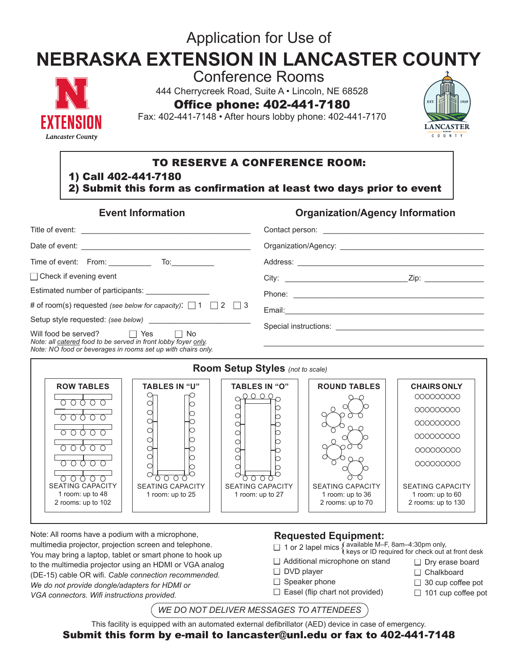# Application for Use of

# **NEBRASKA EXTENSION IN LANCASTER COUNTY**



Conference Rooms

444 Cherrycreek Road, Suite A • Lincoln, NE 68528

Office phone: 402-441-7180

Fax: 402-441-7148 • After hours lobby phone: 402-441-7170



# TO RESERVE A CONFERENCE ROOM:

1) Call 402-441-7180

2) Submit this form as confirmation at least two days prior to event

| <b>Event Information</b> |  |
|--------------------------|--|
|                          |  |

## **Organization/Agency Information**

| $\Box$ Check if evening event                                                                                                                                               | Zip: will be a series of the series of the series of the series of the series of the series of the series of the series of the series of the series of the series of the series of the series of the series of the series of t |  |  |  |  |
|-----------------------------------------------------------------------------------------------------------------------------------------------------------------------------|--------------------------------------------------------------------------------------------------------------------------------------------------------------------------------------------------------------------------------|--|--|--|--|
| Estimated number of participants: ________________                                                                                                                          |                                                                                                                                                                                                                                |  |  |  |  |
| # of room(s) requested (see below for capacity): $\Box$ 1 $\Box$ 2 $\Box$ 3                                                                                                 |                                                                                                                                                                                                                                |  |  |  |  |
|                                                                                                                                                                             |                                                                                                                                                                                                                                |  |  |  |  |
| Will food be served? $\Box$ Yes $\Box$ No<br>Note: all catered food to be served in front lobby foyer only.<br>Note: NO food or beverages in rooms set up with chairs only. |                                                                                                                                                                                                                                |  |  |  |  |
|                                                                                                                                                                             |                                                                                                                                                                                                                                |  |  |  |  |
| <b>Room Setup Styles</b> (not to scale)                                                                                                                                     |                                                                                                                                                                                                                                |  |  |  |  |



Note: All rooms have a podium with a microphone, multimedia projector, projection screen and telephone. You may bring a laptop, tablet or smart phone to hook up to the multimedia projector using an HDMI or VGA analog (DE-15) cable OR wifi. *Cable connection recommended. We do not provide dongle/adapters for HDMI or VGA connectors. Wifi instructions provided.* 

#### **Requested Equipment:**

- □ 1 or 2 lapel mics { available M–F, 8am–4:30pm only,<br>□ 1 or 2 lapel mics { keys or ID required for check out at front desk
- 
- $\Box$  Additional microphone on stand
- $\Box$  DVD player
- $\Box$  Speaker phone
- $\Box$  Easel (flip chart not provided)
- $\Box$  30 cup coffee pot
- $\Box$  101 cup coffee pot

*WE DO NOT DELIVER MESSAGES TO ATTENDEES*

This facility is equipped with an automated external defibrillator (AED) device in case of emergency.

Submit this form by e-mail to lancaster@unl.edu or fax to 402-441-7148

 $\Box$  Dry erase board  $\Box$  Chalkboard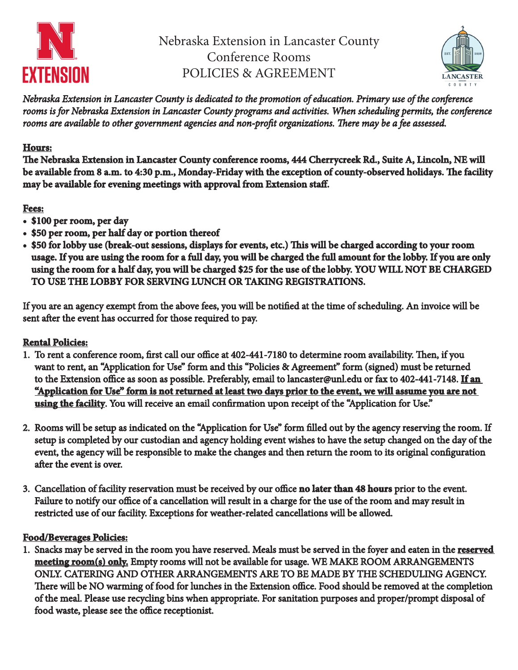

Nebraska Extension in Lancaster County Conference Rooms POLICIES & AGREEMENT



*Nebraska Extension in Lancaster County is dedicated to the promotion of education. Primary use of the conference rooms is for Nebraska Extension in Lancaster County programs and activities. When scheduling permits, the conference rooms are available to other government agencies and non-profit organizations. There may be a fee assessed.*

## **Hours:**

**The Nebraska Extension in Lancaster County conference rooms, 444 Cherrycreek Rd., Suite A, Lincoln, NE will be available from 8 a.m. to 4:30 p.m., Monday-Friday with the exception of county-observed holidays. The facility may be available for evening meetings with approval from Extension staff.**

# **Fees:**

- **\$100 per room, per day**
- **\$50 per room, per half day or portion thereof**
- **\$50 for lobby use (break-out sessions, displays for events, etc.) This will be charged according to your room usage. If you are using the room for a full day, you will be charged the full amount for the lobby. If you are only using the room for a half day, you will be charged \$25 for the use of the lobby. YOU WILL NOT BE CHARGED TO USE THE LOBBY FOR SERVING LUNCH OR TAKING REGISTRATIONS.**

If you are an agency exempt from the above fees, you will be notified at the time of scheduling. An invoice will be sent after the event has occurred for those required to pay.

#### **Rental Policies:**

- 1. To rent a conference room, first call our office at 402-441-7180 to determine room availability. Then, if you want to rent, an "Application for Use" form and this "Policies & Agreement" form (signed) must be returned to the Extension office as soon as possible. Preferably, email to lancaster@unl.edu or fax to 402-441-7148. **If an "Application for Use" form is not returned at least two days prior to the event, we will assume you are not using the facility**. You will receive an email confirmation upon receipt of the "Application for Use."
- 2. Rooms will be setup as indicated on the "Application for Use" form filled out by the agency reserving the room. If setup is completed by our custodian and agency holding event wishes to have the setup changed on the day of the event, the agency will be responsible to make the changes and then return the room to its original configuration after the event is over.
- 3. Cancellation of facility reservation must be received by our office **no later than 48 hours** prior to the event. Failure to notify our office of a cancellation will result in a charge for the use of the room and may result in restricted use of our facility. Exceptions for weather-related cancellations will be allowed.

#### **Food/Beverages Policies:**

1. Snacks may be served in the room you have reserved. Meals must be served in the foyer and eaten in the **reserved meeting room(s) only.** Empty rooms will not be available for usage. WE MAKE ROOM ARRANGEMENTS ONLY. CATERING AND OTHER ARRANGEMENTS ARE TO BE MADE BY THE SCHEDULING AGENCY. There will be NO warming of food for lunches in the Extension office. Food should be removed at the completion of the meal. Please use recycling bins when appropriate. For sanitation purposes and proper/prompt disposal of food waste, please see the office receptionist.